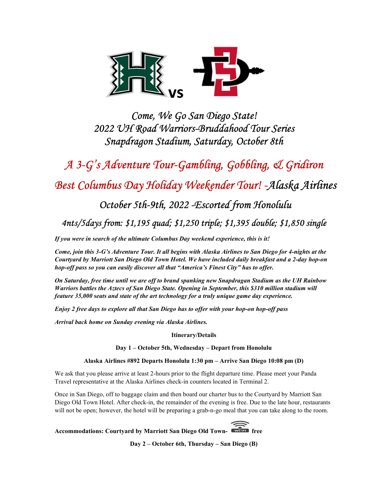

Come, We Go San Diego State! 2022 UH Road Warriors-Bruddahood Tour Series Snapdragon Stadium, Saturday, October 8th

A 3-G's Adventure Tour-Gambling, Gobbling, & Gridiron

Best Columbus Day Holiday Weekender Tour! -Alaska Airlines

October 5th-9th, 2022 -Escorted from Honolulu

4nts/5days from: \$1,195 quad; \$1,250 triple; \$1,395 double; \$1,850 single

If you were in search of the ultimate Columbus Day weekend experience, this is it!

Come, join this 3-G's Adventure Tour. It all begins with Alaska Airlines to San Diego for 4-nights at the Courtyard by Marriott San Diego Old Town Hotel. We have included daily breakfast and a 2-day hop-on hop-off pass so you can easily discover all that "America's Finest City" has to offer.

On Saturday, free time until we are off to brand spanking new Snapdragan Stadium as the UH Rainbow Warriors battles the Aztecs of San Diego State. Opening in September, this \$310 million stadium will feature 35,000 seats and state of the art technology for a truly unique game day experience.

Enjoy 2 free days to explore all that San Diego has to offer with your hop-on hop-off pass

Arrival back home on Sunday evening via Alaska Airlines.

Itinerary/Details

Day 1 – October 5th, Wednesday – Depart from Honolulu

Alaska Airlines #892 Departs Honolulu 1:30 pm – Arrive San Diego 10:08 pm (D)

We ask that you please arrive at least 2-hours prior to the flight departure time. Please meet your Panda Travel representative at the Alaska Airlines check-in counters located in Terminal 2.

Once in San Diego, off to baggage claim and then board our charter bus to the Courtyard by Marriott San Diego Old Town Hotel. After check-in, the remainder of the evening is free. Due to the late hour, restaurants will not be open; however, the hotel will be preparing a grab-n-go meal that you can take along to the room.

Accommodations: Courtyard by Marriott San Diego Old Town-

Day 2 – October 6th, Thursday – San Diego (B)